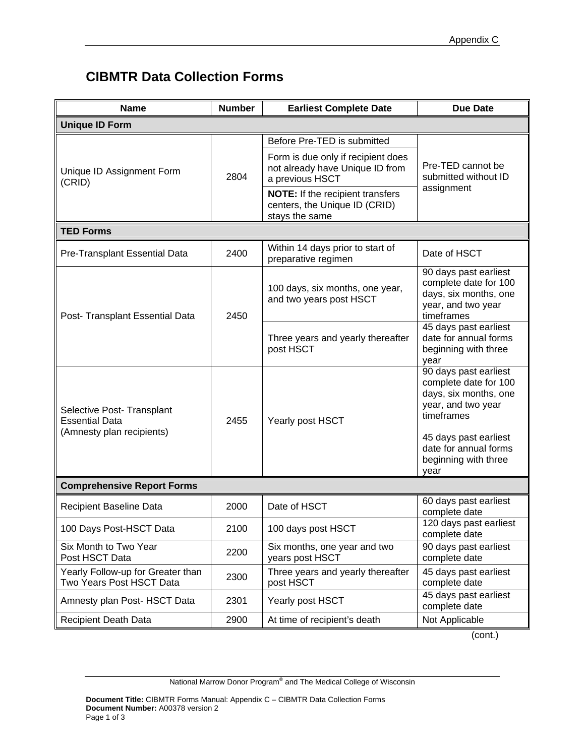## **CIBMTR Data Collection Forms**

| <b>Name</b>                                                                      | <b>Number</b> | <b>Earliest Complete Date</b>                                                              | <b>Due Date</b>                                                                                             |  |
|----------------------------------------------------------------------------------|---------------|--------------------------------------------------------------------------------------------|-------------------------------------------------------------------------------------------------------------|--|
| <b>Unique ID Form</b>                                                            |               |                                                                                            |                                                                                                             |  |
| Unique ID Assignment Form<br>(CRID)                                              | 2804          | Before Pre-TED is submitted                                                                |                                                                                                             |  |
|                                                                                  |               | Form is due only if recipient does<br>not already have Unique ID from<br>a previous HSCT   | Pre-TED cannot be<br>submitted without ID                                                                   |  |
|                                                                                  |               | <b>NOTE:</b> If the recipient transfers<br>centers, the Unique ID (CRID)<br>stays the same | assignment                                                                                                  |  |
| <b>TED Forms</b>                                                                 |               |                                                                                            |                                                                                                             |  |
| Pre-Transplant Essential Data                                                    | 2400          | Within 14 days prior to start of<br>preparative regimen                                    | Date of HSCT                                                                                                |  |
| Post- Transplant Essential Data                                                  | 2450          | 100 days, six months, one year,<br>and two years post HSCT                                 | 90 days past earliest<br>complete date for 100<br>days, six months, one<br>year, and two year<br>timeframes |  |
|                                                                                  |               | Three years and yearly thereafter<br>post HSCT                                             | 45 days past earliest<br>date for annual forms<br>beginning with three<br>year                              |  |
| Selective Post- Transplant<br><b>Essential Data</b><br>(Amnesty plan recipients) | 2455          | Yearly post HSCT                                                                           | 90 days past earliest<br>complete date for 100<br>days, six months, one<br>year, and two year<br>timeframes |  |
|                                                                                  |               |                                                                                            | 45 days past earliest<br>date for annual forms<br>beginning with three<br>vear                              |  |
| <b>Comprehensive Report Forms</b>                                                |               |                                                                                            |                                                                                                             |  |
| <b>Recipient Baseline Data</b>                                                   | 2000          | Date of HSCT                                                                               | 60 days past earliest<br>complete date                                                                      |  |
| 100 Days Post-HSCT Data                                                          | 2100          | 100 days post HSCT                                                                         | 120 days past earliest<br>complete date                                                                     |  |
| Six Month to Two Year<br>Post HSCT Data                                          | 2200          | Six months, one year and two<br>years post HSCT                                            | 90 days past earliest<br>complete date                                                                      |  |
| Yearly Follow-up for Greater than<br>Two Years Post HSCT Data                    | 2300          | Three years and yearly thereafter<br>post HSCT                                             | 45 days past earliest<br>complete date                                                                      |  |
| Amnesty plan Post- HSCT Data                                                     | 2301          | Yearly post HSCT                                                                           | 45 days past earliest<br>complete date                                                                      |  |
| <b>Recipient Death Data</b>                                                      | 2900          | At time of recipient's death                                                               | Not Applicable                                                                                              |  |

(cont.)

National Marrow Donor Program<sup>®</sup> and The Medical College of Wisconsin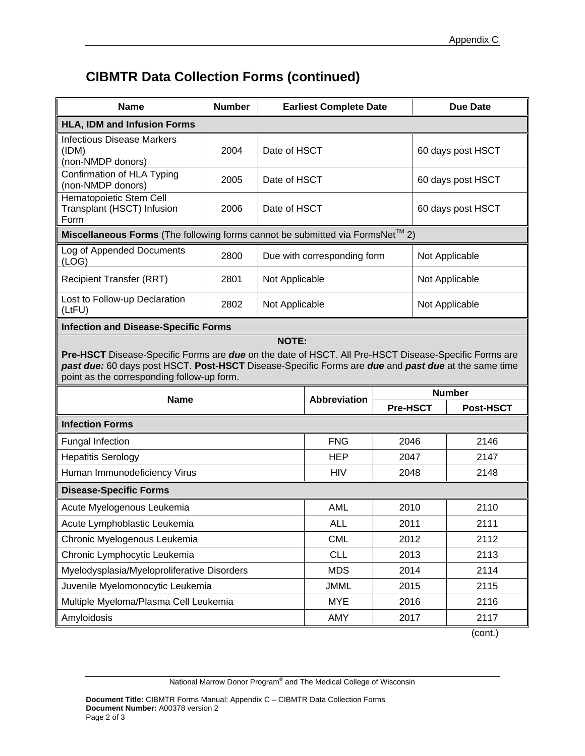## **CIBMTR Data Collection Forms (continued)**

| <b>Name</b>                                                                                                                                                                                                                                                                | <b>Number</b> | <b>Earliest Complete Date</b> |                     | <b>Due Date</b>   |                   |                  |  |  |
|----------------------------------------------------------------------------------------------------------------------------------------------------------------------------------------------------------------------------------------------------------------------------|---------------|-------------------------------|---------------------|-------------------|-------------------|------------------|--|--|
| <b>HLA, IDM and Infusion Forms</b>                                                                                                                                                                                                                                         |               |                               |                     |                   |                   |                  |  |  |
| <b>Infectious Disease Markers</b><br>(IDM)<br>(non-NMDP donors)                                                                                                                                                                                                            | 2004          | Date of HSCT                  |                     | 60 days post HSCT |                   |                  |  |  |
| Confirmation of HLA Typing<br>(non-NMDP donors)                                                                                                                                                                                                                            | 2005          | Date of HSCT                  |                     |                   | 60 days post HSCT |                  |  |  |
| Hematopoietic Stem Cell<br>Transplant (HSCT) Infusion<br>Form                                                                                                                                                                                                              | 2006          | Date of HSCT                  |                     |                   | 60 days post HSCT |                  |  |  |
| Miscellaneous Forms (The following forms cannot be submitted via FormsNet™ 2)                                                                                                                                                                                              |               |                               |                     |                   |                   |                  |  |  |
| Log of Appended Documents<br>(LOG)                                                                                                                                                                                                                                         | 2800          | Due with corresponding form   |                     | Not Applicable    |                   |                  |  |  |
| <b>Recipient Transfer (RRT)</b>                                                                                                                                                                                                                                            | 2801          | Not Applicable                |                     | Not Applicable    |                   |                  |  |  |
| Lost to Follow-up Declaration<br>(LtFU)                                                                                                                                                                                                                                    | 2802          | Not Applicable                |                     |                   | Not Applicable    |                  |  |  |
| <b>Infection and Disease-Specific Forms</b>                                                                                                                                                                                                                                |               |                               |                     |                   |                   |                  |  |  |
| Pre-HSCT Disease-Specific Forms are due on the date of HSCT. All Pre-HSCT Disease-Specific Forms are<br>past due: 60 days post HSCT. Post-HSCT Disease-Specific Forms are due and past due at the same time<br>point as the corresponding follow-up form.<br><b>Number</b> |               |                               |                     |                   |                   |                  |  |  |
| <b>Name</b>                                                                                                                                                                                                                                                                |               |                               | <b>Abbreviation</b> | <b>Pre-HSCT</b>   |                   | <b>Post-HSCT</b> |  |  |
| <b>Infection Forms</b>                                                                                                                                                                                                                                                     |               |                               |                     |                   |                   |                  |  |  |
| Fungal Infection                                                                                                                                                                                                                                                           |               |                               | <b>FNG</b>          | 2046              |                   | 2146             |  |  |
| <b>Hepatitis Serology</b>                                                                                                                                                                                                                                                  |               |                               | <b>HEP</b>          | 2047              |                   | 2147             |  |  |
| Human Immunodeficiency Virus                                                                                                                                                                                                                                               |               | <b>HIV</b><br>2048            |                     |                   | 2148              |                  |  |  |
| <b>Disease-Specific Forms</b>                                                                                                                                                                                                                                              |               |                               |                     |                   |                   |                  |  |  |
| Acute Myelogenous Leukemia                                                                                                                                                                                                                                                 |               | <b>AML</b>                    | 2010                |                   | 2110              |                  |  |  |
| Acute Lymphoblastic Leukemia                                                                                                                                                                                                                                               |               | <b>ALL</b>                    | 2011                |                   | 2111              |                  |  |  |
| Chronic Myelogenous Leukemia                                                                                                                                                                                                                                               |               | <b>CML</b>                    | 2012                |                   | 2112              |                  |  |  |
| Chronic Lymphocytic Leukemia                                                                                                                                                                                                                                               |               |                               | <b>CLL</b>          | 2013              |                   | 2113             |  |  |
| Myelodysplasia/Myeloproliferative Disorders                                                                                                                                                                                                                                |               |                               | <b>MDS</b>          | 2014              |                   | 2114             |  |  |
| Juvenile Myelomonocytic Leukemia                                                                                                                                                                                                                                           |               |                               | <b>JMML</b>         | 2015              |                   | 2115             |  |  |
| Multiple Myeloma/Plasma Cell Leukemia                                                                                                                                                                                                                                      |               |                               | <b>MYE</b>          | 2016              |                   | 2116             |  |  |
| Amyloidosis                                                                                                                                                                                                                                                                |               |                               | AMY                 | 2017              |                   | 2117             |  |  |

(cont.)

National Marrow Donor Program<sup>®</sup> and The Medical College of Wisconsin